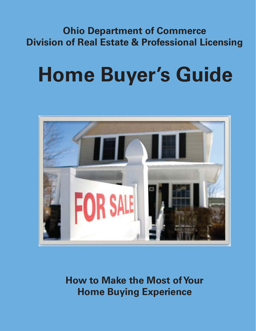# **Ohio Department of Commerce Division of Real Estate & Professional Licensing**

# **Home Buyer's Guide**



**How to Make the Most of Your Home Buying Experience**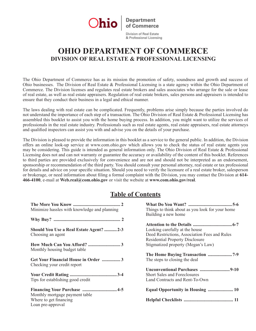

Division of Real Estate & Professional Licensing

## **OHIO DEPARTMENT OF COMMERCE DIVISION OF REAL ESTATE & PROFESSIONAL LICENSING**

The Ohio Department of Commerce has as its mission the promotion of safety, soundness and growth and success of Ohio businesses. The Division of Real Estate & Professional Licensing is a state agency within the Ohio Department of Commerce. The Division licenses and regulates real estate brokers and sales associates who arrange for the sale or lease of real estate, as well as real estate appraisers. Regulation of real estate brokers, sales persons and appraisers is intended to ensure that they conduct their business in a legal and ethical manner.

The laws dealing with real estate can be complicated. Frequently, problems arise simply because the parties involved do not understand the importance of each step of a transaction. The Ohio Division of Real Estate & Professional Licensing has assembled this booklet to assist you with the home buying process. In addition, you might want to utilize the services of professionals in the real estate industry. Professionals such as real estate agents, real estate appraisers, real estate attorneys and qualified inspectors can assist you with and advise you on the details of your purchase.

The Division is pleased to provide the information in this booklet as a service to the general public. In addition, the Division offers an online look-up service at www.com.ohio.gov which allows you to check the status of real estate agents you may be considering. This guide is intended as general information only. The Ohio Division of Real Estate & Professional Licensing does not and can not warranty or guarantee the accuracy or availability of the content of this booklet. References to third parties are provided exclusively for convenience and are not and should not be interpreted as an endorsement, sponsorship or recommendation of the third party. You should consult your personal attorney, real estate or tax professional for details and advice on your specific situation. Should you need to verify the licensure of a real estate broker, salesperson or brokerage, or need information about filing a formal complaint with the Division, you may contact the Division at **614- 466-4100**, e-mail at **Web.real@com.ohio.gov** or visit the website at **www.com.ohio.gov/real**.

### **Table of Contents**

| Minimize hassles with knowledge and planning | Things to think about as you look for your home |
|----------------------------------------------|-------------------------------------------------|
|                                              | Building a new home                             |
|                                              |                                                 |
|                                              |                                                 |
| Should You Use a Real Estate Agent? 2-3      | Looking carefully at the house                  |
| Choosing an agent                            | Deed Restrictions, Association Fees and Rules   |
|                                              | <b>Residential Property Disclosure</b>          |
|                                              | Stigmatized property (Megan's Law)              |
| Monthly housing budget table                 |                                                 |
|                                              |                                                 |
| Get Your Financial House in Order 3          | The steps to closing the deal                   |
| Checking your credit report                  |                                                 |
|                                              |                                                 |
|                                              | <b>Short Sales and Foreclosures</b>             |
|                                              |                                                 |
| Tips for establishing good credit            | Land Contracts and Rent-To-Own                  |
|                                              | Equal Opportunity in Housing  10                |
|                                              |                                                 |
| Monthly mortgage payment table               |                                                 |
| Where to get financing                       |                                                 |
| Loan pre-approval                            |                                                 |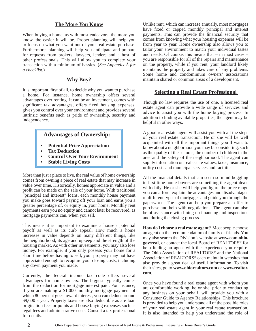#### **The More You Know**

When buying a home, as with most endeavors, the more you know, the easier it will be. Proper planning will help you to focus on what you want out of your real estate purchase. Furthermore, planning will help you anticipate and prepare for requests from brokers, lawyers, lenders and a host of other professionals. This will allow you to complete your transaction with a minimum of hassles. (*See Appendix A for a checklist.*)

#### **Why Buy?**

It is important, first of all, to decide why you want to purchase a home. For instance, home ownership offers several advantages over renting. It can be an investment, comes with significant tax advantages, offers fixed housing expenses, gives you control over your environment and provides several intrinsic benefits such as pride of ownership, security and independence.

#### **Advantages of Ownership:**

- **Potential Price Appreciation**
- **Tax Deduction**
- **Control Over Your Environment**
- **Stable Living Costs**

More than just a place to live, the real value of home ownership comes from owning a piece of real estate that may increase in value over time. Historically, homes appreciate in value and a profit can be made on the sale of your home. With traditional "principal and interest" loans, each monthly house payment you make goes toward paying off your loan and earns you a greater percentage of, or equity in, your home. Monthly rent payments earn you no equity and cannot later be recovered, as mortgage payments can, when you sell.

This means it is important to examine a house's potential payoff as well as its curb appeal. How much a home increases in value depends on many different things, like the neighborhood, its age and upkeep and the strength of the housing market. As with other investments, you may also lose money. For example, if you only possess your home for a short time before having to sell, your property may not have appreciated enough to recapture your closing costs, including any down payment you made.

Currently, the federal income tax code offers several advantages for home owners. The biggest typically comes from the deduction for mortgage interest paid. For instance, if you are making a \$1,000 monthly mortgage payment of which 80 percent goes toward interest, you can deduct around \$9,600 a year. Property taxes are also deductible as are loan origination fees or points and house buying expenses such as legal fees and administrative costs. Consult a tax professional for details.

Unlike rent, which can increase annually, most mortgages have fixed or capped monthly principal and interest payments. This can provide the financial security that comes from knowing what your housing expenses will be from year to year. Home ownership also allows you to tailor your environment to match your individual tastes and needs. Of course, this means that – in most cases – you are responsible for all of the repairs and maintenance on the property, while if you rent, your landlord likely maintains the property and takes care of any problems. Some home and condominium owners' associations maintain shared or common areas of a development.

#### **Selecting a Real Estate Professional**

Though no law requires the use of one, a licensed real estate agent can provide a wide range of services and advice to assist you with the home buying process. In addition to finding available properties, the agent may be helpful in other ways.

A good real estate agent will assist you with all the steps of your real estate transaction. He or she will be well acquainted with all the important things you'll want to know about a neighborhood you may be considering, such as the quality of the schools, the number of children in the area and the safety of the neighborhood. The agent can supply information on real estate values, taxes, insurance, utility costs and municipal services and facilities.

All the financial details that can seem so mind-boggling to first-time home buyers are something the agent deals with daily. He or she will help you figure the price range you can afford, explain the advantages and disadvantages of different types of mortgages and guide you through the paperwork. The agent can help you prepare an offer to purchase and help with negotiations. The agent can also be of assistance with lining up financing and inspections and during the closing process.

**How do I choose a real estate agent?** Most people choose an agent on the recommendation of family or friends. You may also search the Division's website at **www.com.ohio. gov/real**, or contact the local Board of REALTORS® for help finding an agent with the experience you require. The Ohio Association of REALTORS® and the National Association of REALTORS® each maintain websites that also provide a great deal of useful information. To visit their sites, go to **www.ohiorealtors.com** or **www.realtor. com**.

Once you have found a real estate agent with whom you are comfortable working, he or she, prior to conducting any business on your behalf, will provide you with a Consumer Guide to Agency Relationships. This brochure is provided to help you understand all of the possible roles of your real estate agent in your real estate transaction. It is also intended to help you understand the role of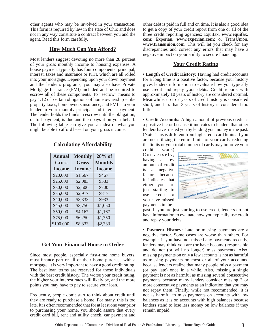other agents who may be involved in your transaction. This form is required by law in the state of Ohio and does not in any way constitute a contract between you and the agent. Read this form carefully.

#### **How Much Can You Afford?**

Most lenders suggest devoting no more than 28 percent of your gross monthly income to housing expenses. A house payment typically has four components: principal, interest, taxes and insurance or PITI, which are all rolled into your mortgage. Depending upon your down payment and the lender's programs, you may also have Private Mortgage Insurance (PMI) included and be required to escrow all of these components. To "escrow" means to pay 1/12 of certain obligations of home ownership – like property taxes, homeowners insurance, and PMI – to your lender in your monthly principal and interest payment. The lender holds the funds in escrow until the obligation, or full payment, is due and then pays it on your behalf. The following table can give you an idea of what you might be able to afford based on your gross income.

| Annual        | <b>Monthly</b> | $28%$ of       |
|---------------|----------------|----------------|
| <b>Gross</b>  | Gross          | <b>Monthly</b> |
| <b>Income</b> | <b>Income</b>  | <b>Income</b>  |
| \$20,000      | \$1,667        | \$467          |
| \$25,000      | \$2,083        | \$583          |
| \$30,000      | \$2,500        | \$700          |
| \$35,000      | \$2,917        | \$817          |
| \$40,000      | \$3,333        | \$933          |
| \$45,000      | \$3,750        | \$1,050        |
| \$50,000      | \$4,167        | \$1,167        |
| \$75,000      | \$6,250        | \$1,750        |
| \$100,000     | \$8,333        | \$2,333        |

#### **Calculating Affordability**

#### **Get Your Financial House in Order**

Since most people, especially first-time home buyers, must finance part or all of their home purchase with a mortgage, it is very important to have a good credit rating. The best loan terms are reserved for those individuals with the best credit history. The worse your credit rating, the higher your interest rates will likely be, and the more points you may have to pay to secure your loan.

Frequently, people don't start to think about credit until they are ready to purchase a home. For many, this is too late. It is often recommended that for at least one year prior to purchasing your home, you should assure that every credit card bill, rent and utility check, car payment and other debt is paid in full and on time. It is also a good idea to get a copy of your credit report from one or all of the three credit reporting agencies: Equifax, **www.equifax. com**; Experian, **www.experian.com**; or TransUnion, **www.transunion.com**. This will let you check for any discrepancies and correct any errors that may have a negative impact on your ability to secure financing.

#### **Your Credit Rating**

**• Length of Credit History:** Having had credit accounts for a long time is a positive factor, because your history gives lenders information to evaluate how you typically use credit and repay your debts. Credit reports with approximately 10 years of history are considered optimal. Meanwhile, up to 7 years of credit history is considered short, and less than 3 years of history is considered too little.

**• Credit Accounts:** A high amount of previous credit is a positive factor because it indicates to lenders that other lenders have trusted you by lending you money in the past. (Note: This is different from high credit card limits. If you are not utilizing the entire limits of your cards, reducing the limits or your total number of cards may improve your

credit score.) Conversely. having a low amount of credit is a negative factor because it indicates that either you are just starting to use credit or you have missed payments in the

| ctions<br>ic Records<br><b>Noyment History</b>                                                                                                                     |                         | <b>Open Accounts</b><br><b>Closed Accounts</b><br><b>Gredit Summary</b>                                                                                                                                                                                                                                                                                                                                                                                                                                                                                                                         |                                              |                 |  |
|--------------------------------------------------------------------------------------------------------------------------------------------------------------------|-------------------------|-------------------------------------------------------------------------------------------------------------------------------------------------------------------------------------------------------------------------------------------------------------------------------------------------------------------------------------------------------------------------------------------------------------------------------------------------------------------------------------------------------------------------------------------------------------------------------------------------|----------------------------------------------|-----------------|--|
| <b>pur Gredit Report Overview</b><br>expectation excells beginning to have the leave increasingly or summer.<br><b><i>Printmann</i></b><br>Merrores<br>Installment | <b>Views Programmes</b> | It consider exposure said a probe business, we walked by works due lookers are shown becomes<br>of West with a particle over credit on your results workshows. Insider version was to<br>which should note following the project for a second and continuous colors are not under<br>point for concern all supercent telephone is an enter to do local and her functional<br>a politicalisme basis can grant actually expect them thank we would with our constraints for<br><b>Billiance Available</b><br><b>MAGAZIN</b> THEM<br>tal from<br><b>MAG</b><br>45,556<br><b>SCO</b><br>v.<br>sich. | <b>Counter Friends</b><br>v.Th<br><b>GSP</b> |                 |  |
| Bergleich<br><b>Other</b>                                                                                                                                          |                         | Inquiries Related to Your Credit History                                                                                                                                                                                                                                                                                                                                                                                                                                                                                                                                                        |                                              |                 |  |
| Tatel                                                                                                                                                              |                         |                                                                                                                                                                                                                                                                                                                                                                                                                                                                                                                                                                                                 |                                              |                 |  |
|                                                                                                                                                                    |                         |                                                                                                                                                                                                                                                                                                                                                                                                                                                                                                                                                                                                 |                                              | <b>ALLEN BY</b> |  |
|                                                                                                                                                                    |                         |                                                                                                                                                                                                                                                                                                                                                                                                                                                                                                                                                                                                 |                                              |                 |  |
|                                                                                                                                                                    | August 2 years &        |                                                                                                                                                                                                                                                                                                                                                                                                                                                                                                                                                                                                 |                                              |                 |  |
|                                                                                                                                                                    |                         | <b>Carolina</b> R                                                                                                                                                                                                                                                                                                                                                                                                                                                                                                                                                                               |                                              |                 |  |

past. If you are just starting to use credit, lenders do not have information to evaluate how you typically use credit and repay your debts.

**• Payment History:** Late or missing payments are a negative factor. Some cases are worse than others. For example, if you have not missed any payments recently, lenders may think you are (or have become) responsible and do not (or will no longer) miss payments. Also, missing payments on only a few accounts is not as harmful as missing payments on most or all of your accounts, because lenders realize that many people miss a payment (or pay late) once in a while. Also, missing a single payment is not as harmful as missing several consecutive payments because many lenders consider missing 3 or more consecutive payments as an indication that you may not repay them. Finally, while not recommended, it is not as harmful to miss payments on accounts with low balances as it is on accounts with high balances because lenders stand to lose less money on low balances if they remain unpaid.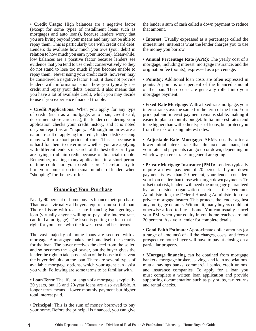**• Credit Usage:** High balances are a negative factor (except for some types of installment loans such as mortgages and auto loans), because lenders worry that you are living beyond your means and may not be able to repay them. This is particularly true with credit card debt. Lenders do evaluate how much you owe (your debt) in relation to how much you earn (your income). Meanwhile, low balances are a positive factor because lenders see evidence that you tend to use credit conservatively so they do not stand to lose too much if you become unable to repay them. Never using your credit cards, however, may be considered a negative factor. First, it does not provide lenders with information about how you typically use credit and repay your debts. Second, it also means that you have a lot of available credit, which you may decide to use if you experience financial trouble.

**• Credit Applications:** When you apply for any type of credit (such as a mortgage, auto loan, credit card, department store card, etc.), the lender considering your application checks your credit history, and it is noted on your report as an "inquiry." Although inquiries are a natural result of applying for credit, lenders dislike seeing many within a short period of time. This is because it is hard for them to determine whether you are applying with different lenders in search of the best offer or if you are trying to obtain credit because of financial trouble. Remember, making many applications in a short period of time could hurt your credit score. Therefore, try to limit your comparison to a small number of lenders when "shopping" for the best offer.

#### **Financing Your Purchase**

Nearly 90 percent of home buyers finance their purchase. That means virtually all buyers require some sort of loan. The real issue with real estate financing isn't getting a loan (virtually anyone willing to pay lofty interest rates can find a mortgage). The issue is getting the loan that is right for you – one with the lowest cost and best terms.

The vast majority of home loans are secured with a mortgage. A mortgage makes the home itself the security for the loan. The buyer receives the deed from the seller, and so becomes the legal owner, but the buyer gives the lender the right to take possession of the house in the event the buyer defaults on the loan. There are several types of available mortgage options, which your agent can assist you with. Following are some terms to be familiar with.

**• Loan Term:** The life, or length of a mortgage is typically 30 years, but 15 and 20-year loans are also available. A longer term means a lower monthly payment but higher total interest paid.

**• Principal:** This is the sum of money borrowed to buy your home. Before the principal is financed, you can give

the lender a sum of cash called a down payment to reduce that amount.

**• Interest:** Usually expressed as a percentage called the interest rate, interest is what the lender charges you to use the money you borrow.

**• Annual Percentage Rate (APR):** The yearly cost of a mortgage, including interest, mortgage insurance, and the origination fee (points), expressed as a percentage.

• **Point(s):** Additional loan costs are often expressed in points. A point is one percent of the financed amount of the loan. These costs are generally rolled into your mortgage payment.

• **Fixed-Rate Mortgage:** With a fixed-rate mortgage, your interest rate stays the same for the term of the loan. Your principal and interest payment remains stable, making it easier to plan a monthly budget. Initial interest rates tend to be higher than with other types of loans, but protect you from the risk of rising interest rates.

**• Adjustable-Rate Mortgage:** ARMs usually offer a lower initial interest rate than do fixed rate loans, but your rate and payments can go up or down, depending on which way interest rates in general are going.

**• Private Mortgage Insurance (PMI):** Lenders typically require a down payment of 20 percent. If your down payment is less than 20 percent, your lender considers your loan riskier than those with larger down payments. To offset that risk, lenders will need the mortgage guaranteed by an outside organization such as the Veteran's Administration, the Federal Housing Administration or a private mortgage insurer. This protects the lender against any mortgage defaults. Without it, many buyers could not otherwise afford to buy a home. You can usually cancel your PMI when your equity in you home reaches around 20 percent. Ask your lender for complete details.

**• Good Faith Estimate:** Approximate dollar amounts (or a range of amounts) of all the charges, costs, and fees a prospective home buyer will have to pay at closing on a particular property.

**• Mortgage fi nancing** can be obtained from mortgage bankers, mortgage brokers, savings and loan associations, mutual savings banks, commercial banks, credit unions, and insurance companies. To apply for a loan you must complete a written loan application and provide supporting documentation such as pay stubs, tax returns and rental checks.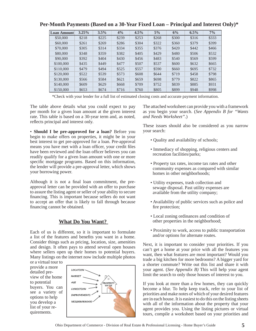| <b>Loan Amount</b> | 3.25% | 3.5%  | 4%    | 4.5%  | $5\%$ | 6%    | 6.5%  | $7\%$ |
|--------------------|-------|-------|-------|-------|-------|-------|-------|-------|
| \$50,000           | \$218 | \$225 | \$239 | \$253 | \$268 | \$300 | \$316 | \$333 |
| \$60,000           | \$261 | \$269 | \$286 | \$304 | \$322 | \$360 | \$379 | \$399 |
| \$70,000           | \$305 | \$314 | \$334 | \$355 | \$376 | \$420 | \$442 | \$466 |
| \$80,000           | \$348 | \$359 | \$382 | \$405 | \$429 | \$480 | \$506 | \$532 |
| \$90,000           | \$392 | \$404 | \$430 | \$456 | \$483 | \$540 | \$569 | \$599 |
| \$100,000          | \$435 | \$449 | \$477 | \$507 | \$537 | \$600 | \$632 | \$665 |
| \$110,000          | \$479 | \$494 | \$525 | \$557 | \$590 | \$660 | \$695 | \$732 |
| \$120,000          | \$522 | \$539 | \$573 | \$608 | \$644 | \$719 | \$458 | \$798 |
| \$130,000          | \$566 | \$584 | \$621 | \$659 | \$698 | \$779 | \$822 | \$865 |
| \$140,000          | \$609 | \$629 | \$668 | \$709 | \$752 | \$839 | \$885 | \$931 |
| \$150,000          | \$653 | \$674 | \$716 | \$760 | \$805 | \$899 | \$948 | \$998 |

#### **Per-Month Payments (Based on a 30-Year Fixed Loan – Principal and Interest Only)\***

\*Check with your lender for a full list of estimated closing costs and accurate payment information.

The table above details what you could expect to pay per month for a given loan amount at the given interest rate. This table is based on a 30-year term and, as noted, reflects principal and interest only.

• **Should I be pre-approved for a loan?** Before you begin to make offers on properties, it might be in your best interest to get pre-approved for a loan. Pre-approval means you have met with a loan officer, your credit files have been reviewed and the loan officer believes you can readily qualify for a given loan amount with one or more specific mortgage programs. Based on this information, the lender will provide a pre-approval letter, which shows your borrowing power.

Although it is not a final loan commitment, the preapproval letter can be provided with an offer to purchase to assure the listing agent or seller of your ability to secure financing. This is important because sellers do not want to accept an offer that is likely to fall through because financing cannot be obtained.

#### **What Do You Want?**

Each of us is different, so it is important to formulate a list of the features and benefits you want in a home. Consider things such as pricing, location, size, amenities and design. It often pays to attend several open houses where sellers open up their homes to potential buyers. Many listings on the internet now include multiple photos

or a virtual tour to provide a more detailed preview of the home to potential buyers. You can see a variety of options to help you develop a list of your requirements.



The attached worksheet can provide you with a framework as you begin your search. (*See Appendix B for "Wants and Needs Worksheet".*)

These issues should also be considered as you narrow your search:

- Quality and availability of schools;
- Immediacy of shopping, religious centers and recreation facilities/parks;
- Property tax rates, income tax rates and other community expenses as compared with similar homes in other neighborhoods;
- Utility expenses, trash collection and sewage disposal. Past utility expenses are available from the utility company;
- Availability of public services such as police and fire protection;
- Local zoning ordinances and condition of other properties in the neighborhood;
- Proximity to work, access to public transportation and/or options for alternate routes.

Next, it is important to consider your priorities. If you can't get a home at your price with all the features you want, then what features are most important? Would you trade a big kitchen for more bedrooms? A bigger yard for a shorter commute? Write out this list and share it with your agent. (*See Appendix B)* This will help your agent limit the search to only those houses of interest to you.

If you look at more than a few homes, they can quickly become a blur. To help keep track, refer to your list of priorities and make notes of which of your desired features are in each house. It is easiest to do this on the listing sheets with all of the information about the property that your agent provides you. Using the listing pictures or virtual tours, compile a worksheet based on your priorities and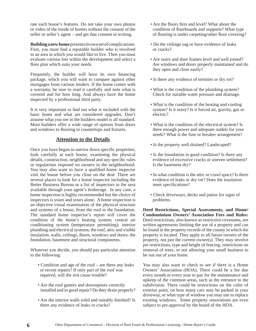rate each house's features. Do not take your own photos or video of the inside of homes without the consent of the seller or seller's agent – and get that consent in writing.

**Building a new home** presents its own set of complications. First, you must find a reputable builder who is involved in an area in which you would like to live. Then you must evaluate various lots within the development and select a floor plan which suits your needs.

Frequently, the builder will have its own financing package, which you will want to compare against other mortgages from various lenders. If the home comes with a warranty, be sure to read it carefully and note what is covered and for how long. And always have the home inspected by a professional third party.

It is very important to find out what is included with the basic home and what are considered upgrades. Don't assume what you see in the builders model is all standard. Most builders offer a wide range of options from doors and windows to flooring to countertops and fixtures.

#### **Attention to the Details**

Once you have begun to narrow down specific properties, look carefully at each house, examining the physical details, construction, neighborhood and any specific rules or regulations imposed on owners in the neighborhood. You may also want to have a qualified home inspector visit the house before you close on the deal. There are several places to look for a home inspector including the Better Business Bureau or a list of inspectors in the area available through your agent's brokerage. In any case, a home inspection is highly recommended but the choice of inspectors is yours and yours alone. A home inspection is an objective visual examination of the physical structure and systems of a house, from the roof to the foundation. The standard home inspector's report will cover the condition of the home's heating system; central air conditioning system (temperature permitting); interior plumbing and electrical systems; the roof, attic and visible insulation; walls, ceilings, floors, windows and doors; the foundation, basement and structural components.

Whatever you decide, you should pay particular attention to the following:

- Condition and age of the roof are there any leaks or recent repairs? If only part of the roof was repaired, will the rest cause trouble?
- Are the roof gutters and downspouts correctly installed and in good repair? Do they drain properly?
- Are the interior walls solid and suitably finished? Is there any evidence of leaks or cracks?
- Are the floors firm and level? What about the condition of floorboards and supports? What type of flooring is under carpeting/other floor covering?
- Do the ceilings sag or have evidence of leaks or cracks?
- Are stairs and door frames level and well joined? Are windows and doors properly maintained and do they open and close easily?
- Is there any evidence of termites or dry rot?
- What is the condition of the plumbing system? Check for suitable water pressure and drainage.
- What is the condition of the heating and cooling system? Is it noisy? Is it forced air, gravity, gas or electric?
- What is the condition of the electrical system? Is there enough power and adequate outlets for your needs? What is the fuse or breaker arrangement?
- Is the property well drained? Landscaped?
- Is the foundation in good condition? Is there any evidence of excessive cracks or uneven settlement? Is the basement dry?
- In what condition is the attic or crawl space? Is there evidence of leaks or dry rot? Does the insulation meet specifications?
- Check driveways, decks and patios for signs of problems.

**Deed Restrictions, Special Assessments, and Home/ Condominium Owners' Association Fees and Rules:**  Deed restrictions, also known as restrictive covenants, are written agreements limiting the use of a property and can be found in the property records of the county in which the property is located. They apply to all future owners of the property, not just the current owner(s). They may involve pet restrictions, type and height of fencing, restrictions on removal of trees, or not allowing your small business to be run out of your home.

You may also want to check to see if there is a Home Owners' Association (HOA). There could be a fee due every month or every year to pay for the maintenance and upkeep of the common areas, such as the entrance to the subdivision. There could be restrictions on the color of exterior paint, on how many cars may be parked in your driveway, or what type of window you may use to replace existing windows. Some property renovations are even subject to pre-approval by the board of the HOA.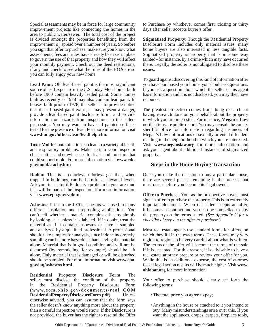Special assessments may be in force for large community improvement projects like connecting the homes in the area to public water/sewer. The total cost of the project is divided amongst the properties benefitting from the improvement(s), spread over a number of years. So before you sign that offer to purchase, make sure you know what assessments, fees and rules have already been set in place to govern the use of that property and how they will affect your monthly payment. Check out the deed restrictions, if any, and check to see what the rules of the HOA are so you can fully enjoy your new home.

**Lead Paint:** Old lead-based paint is the most significant source of lead exposure in the U.S. today. Most homes built before 1960 contain heavily leaded paint. Some homes built as recently as 1978 may also contain lead paint. In houses built prior to 1978, the seller is to provide notice that if lead based paint exists, it may present a danger, provide a lead-based paint disclosure form, and provide information on hazards from inspections in the sellers possession. You may want to have all painted surfaces tested for the presence of lead. For more information visit **www.hud.gov/offi ces/lead/leadhelp.cfm**.

**Toxic Mold:** Contamination can lead to a variety of health and respiratory problems. Make certain your inspector checks attics and crawl spaces for leaks and moisture that could support mold. For more information visit **www.cdc. gov/mold/stachy.htm**.

**Radon:** This is a colorless, odorless gas that, when trapped in buildings, can be harmful at elevated levels. Ask your inspector if Radon is a problem in your area and if it will be part of the inspection. For more information visit **www.epa.gov/radon/**.

**Asbestos:** Prior to the 1970s, asbestos was used in many different insulation and fireproofing applications. You can't tell whether a material contains asbestos simply by looking at it unless it is labeled. If in doubt, treat the material as if it contains asbestos or have it sampled and analyzed by a qualified professional. A professional should take samples for analysis, since if done incorrectly, sampling can be more hazardous than leaving the material alone. Material that is in good condition and will not be disturbed (by remodeling, for example) should be left alone. Only material that is damaged or will be disturbed should be sampled. For more information visit **www.epa. gov/iaq/asbestos.html**.

**Residential Property Disclosure Form:** The seller must disclose the condition of the property in the Residential Property Disclosure Form  $(www.com. ohio.gov/documents/real COM)$ **ResidentialPropertyDisclosureForm.pdf**). Unless otherwise advised, you can assume that the form says the seller doesn't know anything more about the property than a careful inspection would show. If the Disclosure is not provided, the buyer has the right to rescind the Offer

to Purchase by whichever comes first: closing or thirty days after seller accepts buyer's offer.

**Stigmatized Property:** Though the Residential Property Disclosure Form includes only material issues, many home buyers are also interested in less tangible facts. Stigmatized property is property that is in some way tainted--for instance, by a crime which may have occurred there. Legally, the seller is not obligated to disclose these issues.

To guard against discovering this kind of information after you have purchased your home, you should ask questions. If you ask a question about which the seller or his agent has information and it is not disclosed, you may then have recourse.

The greatest protection comes from doing research--or having research done on your behalf--about the property in which you are interested. For instance, **Megan's Law**  notifications are public record. You may consult the county sheriff's office for information regarding instances of Megan's Law notifications of sexually oriented offenders residing in the neighborhood in which you are interested. Visit **www.meganslaw.org** for more information and ask your agent about additional instances of stigmatized property.

#### **Steps in the Home Buying Transaction**

Once you make the decision to buy a particular house, there are several phases remaining in the process that must occur before you become its legal owner.

**Offer to Purchase.** You, as the prospective buyer, must sign an offer to purchase the property. This is an extremely important document. When the seller accepts an offer, it becomes a contract and you can be compelled to buy the property on the terms stated. (*See Appendix C for a checklist of steps in the offer to purchase*.)

Most real estate agents use standard forms for offers, on which they fill in the exact terms. These forms may vary region to region so be very careful about what is written. The terms of the offer will become the terms of the sale if it is accepted. For this reason, it is advisable to have a real estate attorney prepare or review your offer for you. While this is an additional expense, the cost of attorney fees if legal action results will be much higher. Visit **www. ohiobar.org** for more information.

Your offer to purchase should clearly set forth the following terms:

- The total price you agree to pay;
- Anything in the house or attached to it you intend to buy. Many misunderstandings arise over this. If you want the appliances, drapes, carpets, fireplace tools,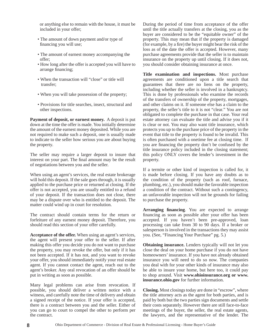or anything else to remain with the house, it must be included in your offer;

- The amount of down payment and/or type of financing you will use;
- The amount of earnest money accompanying the offer;
- How long after the offer is accepted you will have to arrange financing;
- When the transaction will "close" or title will transfer;
- When you will take possession of the property;
- Provisions for title searches, insect, structural and other inspections.

**Payment of deposit, or earnest money.** A deposit is put down at the time the offer is made. You initially determine the amount of the earnest money deposited. While you are not required to make such a deposit, one is usually made to indicate to the seller how serious you are about buying the property.

The seller may require a larger deposit to insure that interest on your part. The final amount may be the result of negotiations between you and the seller.

When using an agent's services, the real estate brokerage will hold this deposit. If the sale goes through, it is usually applied to the purchase price or returned at closing. If the offer is not accepted, you are usually entitled to a refund of your deposit. If the transaction does not close, there may be a dispute over who is entitled to the deposit. The matter could wind up in court for resolution.

The contract should contain terms for the return or forfeiture of any earnest money deposit. Therefore, you should read this section of your offer carefully.

**Acceptance of the offer.** When using an agent's services, the agent will present your offer to the seller. If after making this offer you decide you do not want to purchase the property, you may revoke the offer, but only if it has not been accepted. If it has not, and you want to revoke your offer, you should immediately notify your real estate agent. If you cannot contact the agent, reach out to the agent's broker. Any oral revocation of an offer should be put in writing as soon as possible.

Many legal problems can arise from revocation. If possible, you should deliver a written notice with a witness, and carefully note the time of delivery and obtain a signed receipt of the notice. If your offer is accepted, there is a contract between you and the seller. Either of you can go to court to compel the other to perform per the contract.

During the period of time from acceptance of the offer until the title actually transfers at the closing, you as the buyer are considered to be the "equitable owner" of the property. This may mean that if the property is damaged (for example, by a fire) the buyer might bear the risk of the loss as of the date the offer is accepted. However, many purchase agreements provide that the seller is to maintain insurance on the property up until closing. If it does not, you should consider obtaining insurance at once.

**Title examination and inspections.** Most purchase agreements are conditioned upon a title search that guarantees that there are no liens on the property, including whether the seller is involved in a bankruptcy. This is done by professionals who examine the records of the transfers of ownership of the property, mortgages, and other claims on it. If someone else has a claim to the property, the seller's title to it is not "clear." You are not obligated to complete the purchase in that case. Your real estate attorney can evaluate the title and advise you if it is clear or not. You may also want title insurance, which protects you up to the purchase price of the property in the event that title to the property is found to be invalid. This is often purchased with a onetime fee at closing time. If you are financing the property don't be confused by the title insurance policy included in the closing statement; this policy ONLY covers the lender's investment in the property.

If a termite or other kind of inspection is called for, it is made before closing. If you have any doubts as to the condition of the property (such as roof, furnace, plumbing, etc.), you should make the favorable inspection a condition of the contract. Without such a contingency, an unfavorable inspection will not be grounds for failing to purchase the property.

Arranging **financing**. You are expected to arrange financing as soon as possible after your offer has been accepted. If you haven't been pre-approved, loan processing can take from 30 to 90 days. If a broker or salesperson is involved in the transactions they may assist you. (See, "Financing Your Purchase" pg. 5.)

**Obtaining insurance.** Lenders typically will not let you close the deal on your home purchase if you do not have homeowners' insurance. If you have not already obtained insurance you will need to do so now. The companies you deal with for your other kinds of insurance may also be able to insure your home, but here too, it could pay to shop around. Visit **www.ohioinsurance.org or www. insurance.ohio.gov** for further information.

**Closing.** Most closings today are done in "escrow", where the title attorney acts as the agent for both parties, and is paid by both but the two parties sign documents and settle their costs separately. However there are still face-to-face meetings of the buyer, the seller, the real estate agents, the lawyers, and the representative of the lender. The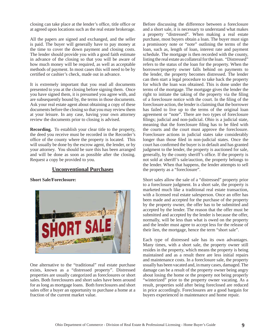closing can take place at the lender's office, title office or at agreed upon locations such as the real estate brokerage.

All the papers are signed and exchanged, and the seller is paid. The buyer will generally have to pay money at the time to cover the down payment and closing costs. The lender should provide you with a good faith estimate in advance of the closing so that you will be aware of how much money will be required, as well as acceptable methods of payment. In most cases this will need to be by certified or cashier's check, made out in advance.

It is extremely important that you read all documents presented to you at the closing before signing them. Once you have signed them, it is presumed you agree with, and are subsequently bound by, the terms in those documents. Ask your real estate agent about obtaining a copy of these documents before the closing so that you may review them at your leisure. In any case, having your own attorney review the documents prior to closing is advised.

**Recording.** To establish your clear title to the property, the deed you receive must be recorded in the Recorder's office of the county where the property is located. This will usually be done by the escrow agent, the lender, or by your attorney. You should be sure this has been arranged and will be done as soon as possible after the closing. Request a copy be provided to you.

#### **Unconventional Purchases**

**Short Sale/Foreclosure:** 



One alternative to the "traditional" real estate purchase exists, known as a "distressed property". Distressed properties are usually categorized as foreclosures or short sales. Both foreclosures and short sales have been around for as long as mortgage loans. Both foreclosures and short sales offer a buyer an opportunity to purchase a home at a fraction of the current market value.

Before discussing the difference between a foreclosure and a short sale, it is necessary to understand what makes a property "distressed". When making a real estate purchase, most buyers obtain a loan. The buyer must sign a promissory note or "note" outlining the terms of the loan, such as, length of loan, interest rate and payment schedule. The mortgage is then recorded with the county, listing the real estate as collateral for the loan. "Distressed" refers to the status of the loan for the property. When the borrower/property owner falls behind on payments to the lender, the property becomes distressed. The lender can then start a legal procedure to take back the property for which the loan was obtained. This is done under the terms of the mortgage. The mortgage gives the lender the right to initiate the taking of the property via the filing of a foreclosure notice with the court. In the filing of the foreclosure action, the lender is claiming that the borrower has failed to live up to the terms of the original loan agreement or "note". There are two types of foreclosure filings; judicial and non-judicial. Ohio is a judicial state, meaning that the foreclosure filing has to be filed with the courts and the court must approve the foreclosure. Foreclosure actions in judicial states take considerably longer than those filed in non-judicial states. Once the court has confirmed the buyer is in default and has granted judgment to the lender, the property is auctioned for sale, generally, by the county sheriff's office. If the property is not sold at sheriff's sale/auction, the property belongs to the lender. When that happens, the lender attempts to sell the property as a "foreclosure".

Short sales allow the sale of a "distressed" property prior to a foreclosure judgment. In a short sale, the property is marketed much like a traditional real estate transaction, with a licensed real estate salesperson. Once an offer has been made and accepted for the purchase of the property by the property owner, the offer has to be submitted and accepted by the lender. The reason that the offer must be submitted and accepted by the lender is because the offer, normally, will be less than what is owed on the property and the lender must agree to accept less for the release of their lien, the mortgage, hence the term "short sale".

Each type of distressed sale has its own advantages. Many times, with a short sale, the property owner still resides in the property, which means the property is being maintained and as a result there are less initial repairs and maintenance costs. In a foreclosure sale, the property usually has been vacated and, in many cases, damaged. The damage can be a result of the property owner being angry about losing the home or the property not being properly "winterized" prior to the property owner vacating. As a result, properties sold after being foreclosed are reduced in price accordingly. Foreclosures are a good bargain for buyers experienced in maintenance and home repair.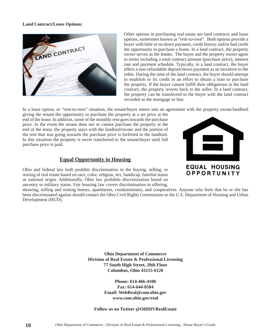#### **Land Contract/Lease Options:**



Other options in purchasing real estate are land contracts and lease options, sometimes known as "rent-to-own". Both options provide a buyer with little or no down payment, credit history and/or bad credit the opportunity to purchase a home. In a land contract, the property owner serves as the lender. The buyer and the property owner agree to terms including a total contract amount (purchase price), interest rate and payment schedule. Typically, in a land contract, the buyer offers a non-refundable deposit/down payment as an incentive to the seller. During the time of the land contract, the buyer should attempt to establish or fix credit in an effort to obtain a loan to purchase the property. If the buyer cannot fulfill their obligations in the land contract, the property reverts back to the seller. In a land contract, the property can be transferred to the buyer with the land contract recorded as the mortgage or lien.

In a lease option, or "rent-to-own" situation, the tenant/buyer enters into an agreement with the property owner/landlord

giving the tenant the opportunity to purchase the property at a set price at the end of the lease. In addition, some of the monthly rent goes towards the purchase price. In the event the tenant does not or cannot purchase the property at the end of the lease, the property stays with the landlord/owner and the portion of the rent that was going towards the purchase price is forfeited to the landlord. In this situation the property is never transferred to the tenant/buyer until full purchase price is paid.

#### **Equal Opportunity in Housing**

Ohio and federal law both prohibit discrimination in the buying, selling, or renting of real estate based on race, color, religion, sex, handicap, familial status or national origin. Additionally, Ohio law prohibits discrimination based on ancestry or military status. Fair housing law covers discrimination in offering,

**EQUAL HOUSING** 

OPPORTUNITY

showing, selling and renting homes, apartments, condominiums, and cooperatives. Anyone who feels that he or she has been discriminated against should contact the Ohio Civil Rights Commission or the U.S. Department of Housing and Urban Development (HUD).

> **Ohio Department of Commerce Division of Real Estate & Professional Licensing 77 South High Street, 20th Floor Columbus, Ohio 43215-6120**

> > **Phone: 614-466-4100 Fax: 614-644-0584 Email: WebReal@com.ohio.gov www.com.ohio.gov/real**

#### **Follow us on Twitter @OHDIVRealEstate**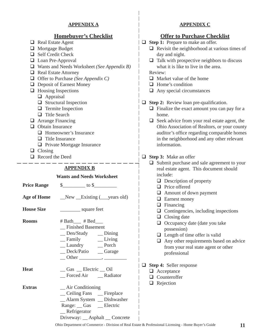#### **APPENDIX A**

#### **Homebuyer's Checklist**

- $\Box$  Real Estate Agent
- □ Mortgage Budget
- Self Credit Check
- **Loan Pre-Approval**
- Wants and Needs Worksheet *(See Appendix B)*
- Real Estate Attorney
- □ Offer to Purchase *(See Appendix C)*
- **Deposit of Earnest Money**
- $\Box$  Housing Inspections
	- **Q** Appraisal
	- $\Box$  Structural Inspection
	- $\Box$  Termite Inspection
	- $\Box$  Title Search
- **Q** Arrange Financing
- $\Box$  Obtain Insurance
	- □ Homeowner's Insurance
	- $\Box$  Title Insurance
	- **Private Mortgage Insurance**
- $\Box$  Closing
- Record the Deed

#### **APPENDIX B**

#### **Wants and Needs Worksheet**

|                   | Price Range $\qquad \quad \text{\$\_\_\_\_to\}$ to $\quad \quad \text{\$\_\_\_to\}$                            |
|-------------------|----------------------------------------------------------------------------------------------------------------|
|                   |                                                                                                                |
| <b>House Size</b> |                                                                                                                |
| <b>Rooms</b>      | $#$ Bath $#$ Bed $#$<br>_Finished Basement<br>_Den/Study __Dining<br>_Laundry ___ Porch<br>_Deck/Patio _Garage |
| <b>Heat</b>       | $\sqrt{Gas}$ Electric $\sqrt{Oil}$<br>_Forced Air _____ Radiator                                               |
| <b>Extras</b>     | $\_\$ Air Conditioning<br>_Ceiling Fans _Eireplace<br>_Alarm System _ Dishwasher<br>Range: __ Gas __ Electric  |

\_\_ Refrigerator

Driveway: \_\_ Asphalt \_\_ Concrete

#### **APPENDIX C**

#### **Offer to Purchase Checklist**

- □ Step 1: Prepare to make an offer.
	- $\Box$  Revisit the neighborhood at various times of day and night.
	- $\Box$  Talk with prospective neighbors to discuss what it is like to live in the area.

Review:

- $\Box$  Market value of the home
- $\Box$  Home's condition
- $\Box$  Any special circumstances
- $\Box$  **Step 2:** Review loan pre-qualification.
	- $\Box$  Finalize the exact amount you can pay for a home.
	- $\Box$  Seek advice from your real estate agent, the Ohio Association of Realtors, or your county auditor's office regarding comparable homes in the neighborhood and any other relevant information.

#### **Step 3:** Make an offer

- $\Box$  Submit purchase and sale agreement to your real estate agent. This document should include:
	- $\Box$  Description of property
	- □ Price offered
	- Amount of down payment
	- □ Earnest money
	- $\Box$  Financing
	- $\Box$  Contingencies, including inspections
	- $\Box$  Closing date
	- □ Occupancy date (date you take possession)
	- $\Box$  Length of time offer is valid
	- □ Any other requirements based on advice from your real state agent or other professional
- **Step 4:** Seller response
	- □ Acceptance
	- **Q** Counteroffer
	- □ Rejection